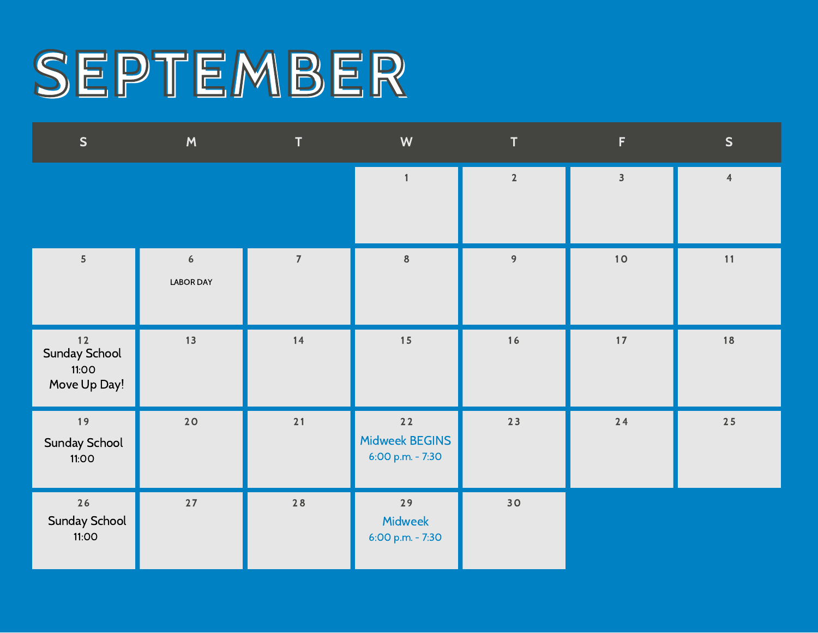#### SEPTEMBER

| $\mathsf{S}$                                   | M                                    | $\mathsf{T}$             | W                                          | T              | F                       | $\mathsf{S}$   |
|------------------------------------------------|--------------------------------------|--------------------------|--------------------------------------------|----------------|-------------------------|----------------|
|                                                |                                      |                          | $\mathbf{1}$                               | $\overline{2}$ | $\overline{\mathbf{3}}$ | $\overline{4}$ |
| $\sqrt{5}$                                     | $\boldsymbol{6}$<br><b>LABOR DAY</b> | $\overline{\mathcal{I}}$ | $\bf{8}$                                   | 9              | $10$                    | 11             |
| $12$<br>Sunday School<br>11:00<br>Move Up Day! | 13                                   | 14                       | 15                                         | $16$           | $17$                    | 18             |
| 19<br>Sunday School<br>11:00                   | 20                                   | 21                       | $22$<br>Midweek BEGINS<br>6:00 p.m. - 7:30 | $23$           | $24$                    | $25$           |
| 26<br>Sunday School<br>11:00                   | $27$                                 | $28$                     | 29<br>Midweek<br>6:00 p.m. - 7:30          | 30             |                         |                |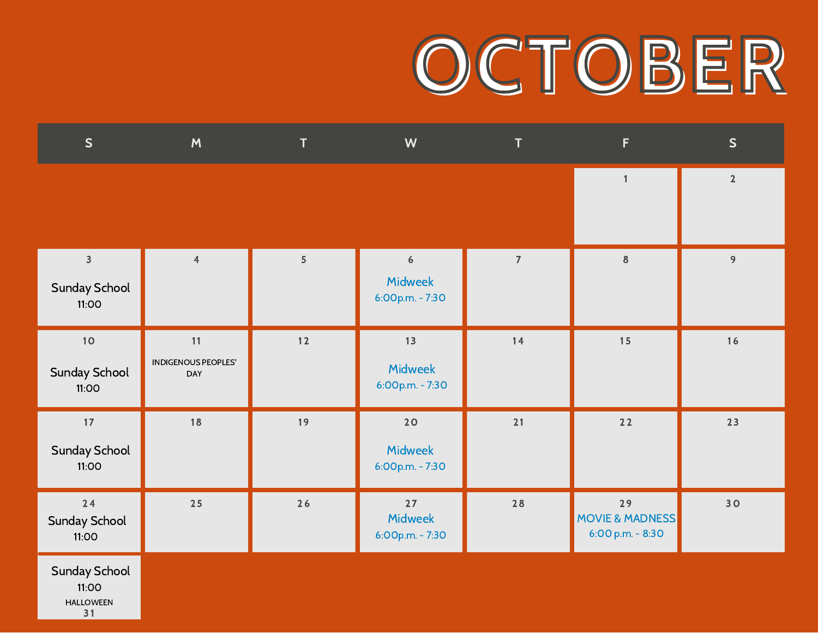#### OCTOBER

| S                                                       | M                                | T          | W                                                     | T              | F                                                    | S              |
|---------------------------------------------------------|----------------------------------|------------|-------------------------------------------------------|----------------|------------------------------------------------------|----------------|
|                                                         |                                  |            |                                                       |                | $\mathbf{1}$                                         | $\overline{2}$ |
| $\overline{\mathbf{3}}$<br>Sunday School<br>11:OO       | $\overline{4}$                   | $\sqrt{5}$ | $\boldsymbol{6}$<br><b>Midweek</b><br>6:00p.m. - 7:30 | $\overline{7}$ | $\bf 8$                                              | 9              |
| 10<br>Sunday School<br>11:00                            | 11<br>INDIGENOUS PEOPLES'<br>DAY | $12$       | 13<br><b>Midweek</b><br>6:00p.m. - 7:30               | 14             | 15                                                   | 16             |
| $17$<br><b>Sunday School</b><br>11:00                   | 18                               | 19         | 20<br><b>Midweek</b><br>6:00p.m. - 7:30               | 21             | $22$                                                 | 23             |
| 24<br>Sunday School<br>11:00                            | $25$                             | 26         | $27$<br>Midweek<br>6:00p.m. - 7:30                    | 28             | 29<br><b>MOVIE &amp; MADNESS</b><br>6:00 p.m. - 8:30 | 30             |
| <b>Sunday School</b><br>11:00<br><b>HALLOWEEN</b><br>31 |                                  |            |                                                       |                |                                                      |                |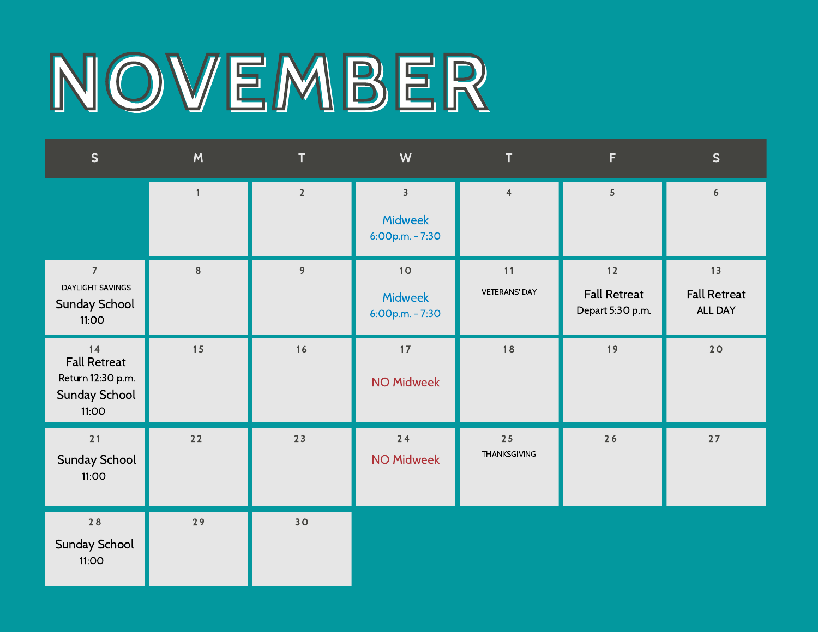### NOVEMBER

| $\mathsf{S}$                                                               | M            | T           | W                                                            | T                          | F.                                              | $\mathsf{S}$                         |
|----------------------------------------------------------------------------|--------------|-------------|--------------------------------------------------------------|----------------------------|-------------------------------------------------|--------------------------------------|
|                                                                            | $\mathbf{1}$ | $\mathbf 2$ | $\overline{\mathbf{3}}$<br><b>Midweek</b><br>6:00p.m. - 7:30 | $\pmb{4}$                  | 5                                               | $\boldsymbol{6}$                     |
| $\overline{7}$<br><b>DAYLIGHT SAVINGS</b><br><b>Sunday School</b><br>11:00 | $\bf 8$      | 9           | $10$<br><b>Midweek</b><br>6:00p.m. - 7:30                    | 11<br><b>VETERANS' DAY</b> | $12$<br><b>Fall Retreat</b><br>Depart 5:30 p.m. | 13<br><b>Fall Retreat</b><br>ALL DAY |
| 14<br><b>Fall Retreat</b><br>Return 12:30 p.m.<br>Sunday School<br>11:00   | 15           | 16          | $17$<br><b>NO Midweek</b>                                    | 18                         | 19                                              | 20                                   |
| $21$<br>Sunday School<br>11:00                                             | $22$         | 23          | 24<br><b>NO Midweek</b>                                      | 25<br>THANKSGIVING         | 26                                              | $27$                                 |
| $28$<br>Sunday School<br>11:00                                             | 29           | 30          |                                                              |                            |                                                 |                                      |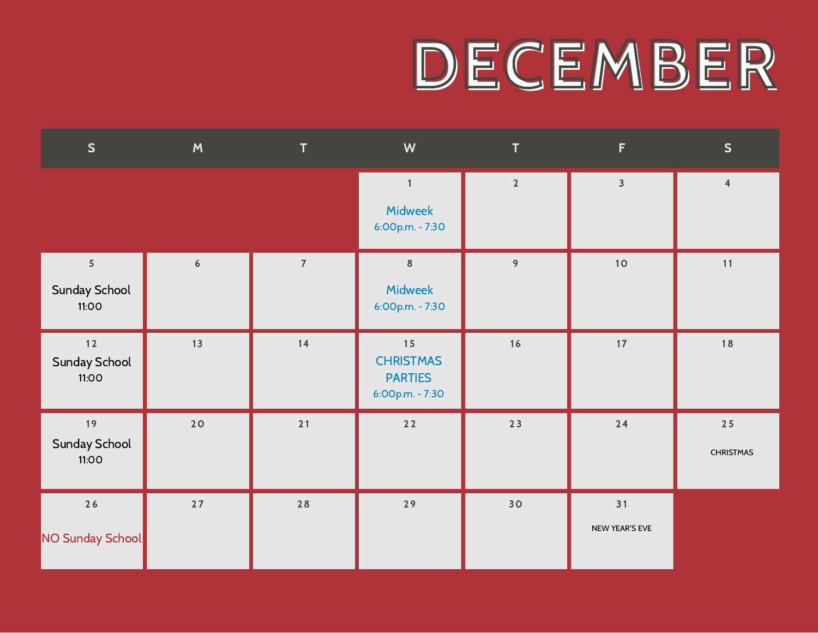#### DECEMBER

| $\mathsf{S}$                             | M                | T              | W                                                           | T              | F                       | $\mathsf{S}$             |
|------------------------------------------|------------------|----------------|-------------------------------------------------------------|----------------|-------------------------|--------------------------|
|                                          |                  |                | $\mathbf{1}$<br>Midweek<br>6:00p.m. - 7:30                  | $\overline{2}$ | $\overline{\mathbf{3}}$ | $\overline{4}$           |
| $\overline{5}$<br>Sunday School<br>11:00 | $\boldsymbol{6}$ | $\overline{7}$ | $\boldsymbol{8}$<br><b>Midweek</b><br>6:00p.m. - 7:30       | 9              | 10                      | 11                       |
| $12$<br>Sunday School<br>11:00           | 13               | 14             | 15<br><b>CHRISTMAS</b><br><b>PARTIES</b><br>6:00p.m. - 7:30 | 16             | 17                      | 18                       |
| 19<br>Sunday School<br>11:00             | 20               | 21             | $22$                                                        | 23             | $24$                    | $25$<br><b>CHRISTMAS</b> |
| $26$<br>NO Sunday School                 | $27$             | $28$           | 29                                                          | 30             | 31<br>NEW YEAR'S EVE    |                          |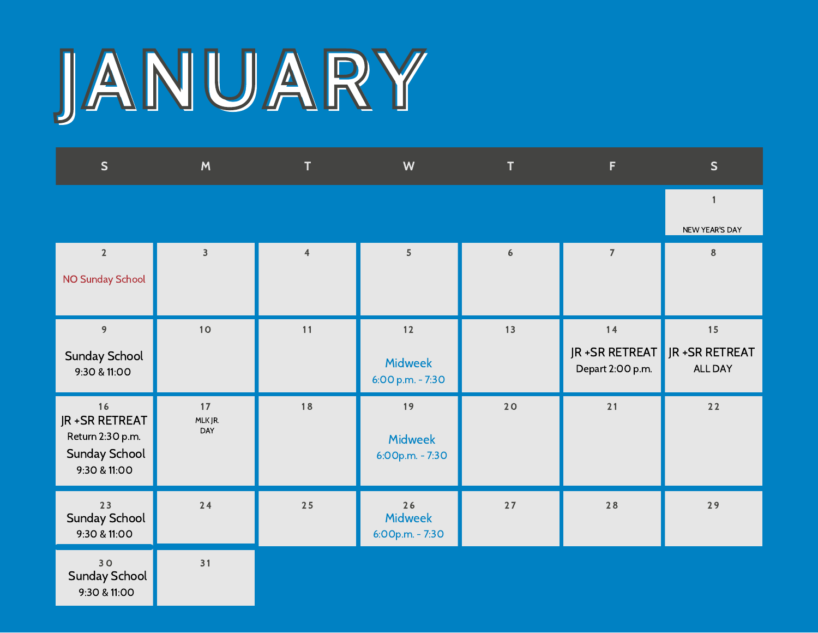## JANUARY

| S                                                                                 | M                       | T              | W                                          | T    | F                                         | $\mathsf{S}$                            |
|-----------------------------------------------------------------------------------|-------------------------|----------------|--------------------------------------------|------|-------------------------------------------|-----------------------------------------|
|                                                                                   |                         |                |                                            |      |                                           | $\mathbf{1}$<br>NEW YEAR'S DAY          |
| $\overline{2}$<br>NO Sunday School                                                | $\overline{\mathbf{3}}$ | $\overline{4}$ | 5 <sup>1</sup>                             | 6    | $\overline{7}$                            | $\bf 8$                                 |
| 9<br><b>Sunday School</b><br>9:30 & 11:00                                         | $10$                    | 11             | $12$<br><b>Midweek</b><br>6:00 p.m. - 7:30 | 13   | 14<br>JR + SR RETREAT<br>Depart 2:00 p.m. | 15<br>JR + SR RETREAT<br><b>ALL DAY</b> |
| 16<br>JR + SR RETREAT<br>Return 2:30 p.m.<br><b>Sunday School</b><br>9:30 & 11:00 | 17<br>MLK JR.<br>DAY    | 18             | 19<br><b>Midweek</b><br>6:00p.m. - 7:30    | 20   | 21                                        | $22$                                    |
| 23<br><b>Sunday School</b><br>9:30 & 11:00                                        | $24$                    | 25             | 26<br><b>Midweek</b><br>6:00p.m. - 7:30    | $27$ | 28                                        | 29                                      |
| 30<br><b>Sunday School</b><br>9:30 & 11:00                                        | 31                      |                |                                            |      |                                           |                                         |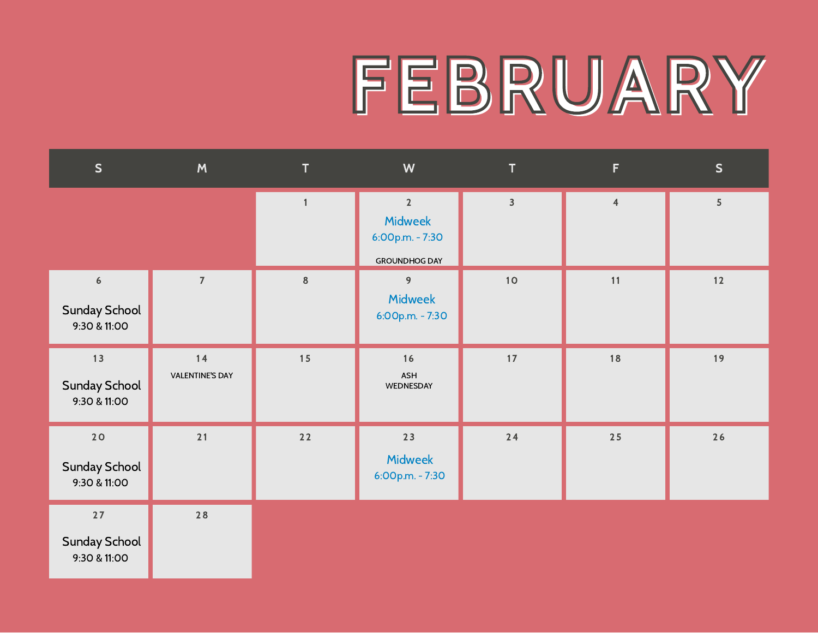### FEBRUARY

| S                                                        | M                              | $\mathbf{T}$            | W                                                                           | T.                      | F              | S    |
|----------------------------------------------------------|--------------------------------|-------------------------|-----------------------------------------------------------------------------|-------------------------|----------------|------|
|                                                          |                                | $\overline{\mathbf{1}}$ | $\overline{2}$<br><b>Midweek</b><br>6:00p.m. - 7:30<br><b>GROUNDHOG DAY</b> | $\overline{\mathbf{3}}$ | $\overline{4}$ | 5    |
| $\boldsymbol{6}$<br><b>Sunday School</b><br>9:30 & 11:00 | $\overline{7}$                 | $\,$ 8 $\,$             | 9<br>Midweek<br>6:00p.m. - 7:30                                             | $10$                    | 11             | $12$ |
| 13<br>Sunday School<br>9:30 & 11:00                      | $14$<br><b>VALENTINE'S DAY</b> | 15                      | 16<br>ASH<br>WEDNESDAY                                                      | 17                      | 18             | 19   |
| $20$<br><b>Sunday School</b><br>9:30 & 11:00             | $21$                           | 22                      | 23<br><b>Midweek</b><br>6:00p.m. - 7:30                                     | $24$                    | $25$           | $26$ |
| $27$<br>Sunday School<br>9:30 & 11:00                    | 28                             |                         |                                                                             |                         |                |      |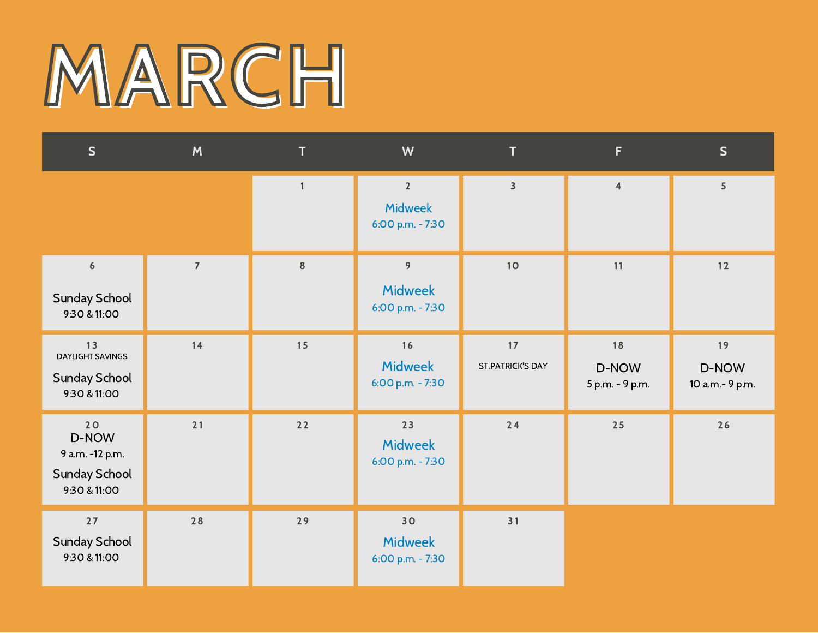## MARCH

| S                                                                      | M              | T            | W                                                 | T                             | F.                             | S                              |
|------------------------------------------------------------------------|----------------|--------------|---------------------------------------------------|-------------------------------|--------------------------------|--------------------------------|
|                                                                        |                | $\mathbf{1}$ | $\mathbf 2$<br><b>Midweek</b><br>6:00 p.m. - 7:30 | $\overline{\mathbf{3}}$       | $\overline{4}$                 | 5                              |
| $\boldsymbol{6}$<br><b>Sunday School</b><br>9:30 & 11:00               | $\overline{7}$ | $\bf 8$      | 9<br><b>Midweek</b><br>6:00 p.m. - 7:30           | 10                            | 11                             | $12$                           |
| 13<br><b>DAYLIGHT SAVINGS</b><br><b>Sunday School</b><br>9:30 & 11:00  | 14             | 15           | 16<br><b>Midweek</b><br>6:00 p.m. - 7:30          | 17<br><b>ST.PATRICK'S DAY</b> | 18<br>D-NOW<br>5 p.m. - 9 p.m. | 19<br>D-NOW<br>10 a.m.- 9 p.m. |
| 20<br>D-NOW<br>9 a.m. -12 p.m.<br><b>Sunday School</b><br>9:30 & 11:00 | 21             | $22$         | 23<br><b>Midweek</b><br>6:00 p.m. - 7:30          | 24                            | 25                             | 26                             |
| $27$<br><b>Sunday School</b><br>9:30 & 11:00                           | 28             | 29           | 30<br><b>Midweek</b><br>6:00 p.m. - 7:30          | 31                            |                                |                                |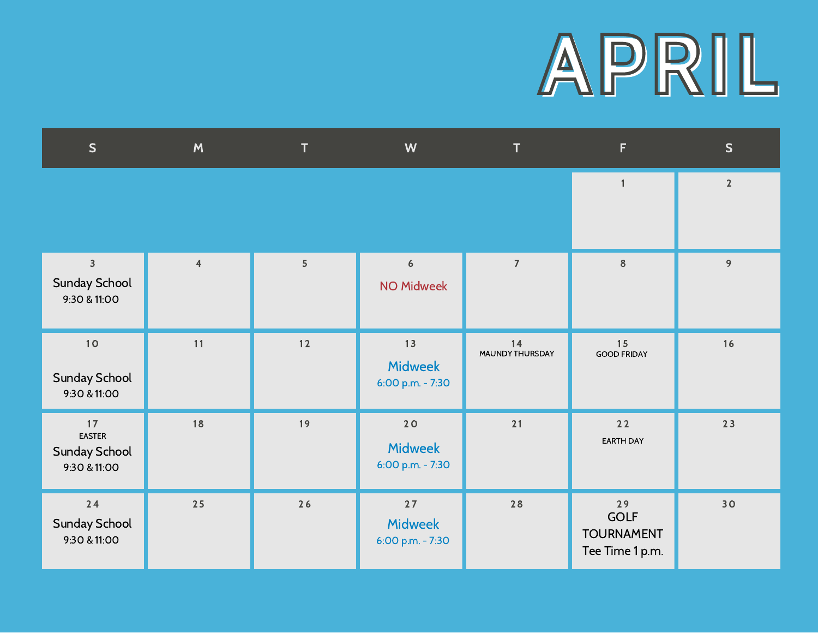

| S                                                               | M              | T              | W                                        | T                     | F                                                         | S              |
|-----------------------------------------------------------------|----------------|----------------|------------------------------------------|-----------------------|-----------------------------------------------------------|----------------|
|                                                                 |                |                |                                          |                       | $\overline{1}$                                            | $\overline{2}$ |
| $\overline{\mathbf{3}}$<br><b>Sunday School</b><br>9:30 & 11:00 | $\overline{4}$ | $\overline{5}$ | $\boldsymbol{6}$<br><b>NO Midweek</b>    | $\overline{7}$        | $\bf 8$                                                   | 9              |
| $10$<br>Sunday School<br>9:30 & 11:00                           | 11             | $12$           | 13<br><b>Midweek</b><br>6:00 p.m. - 7:30 | 14<br>MAUNDY THURSDAY | 15<br><b>GOOD FRIDAY</b>                                  | 16             |
| 17<br><b>EASTER</b><br><b>Sunday School</b><br>9:30 & 11:00     | 18             | 19             | 20<br><b>Midweek</b><br>6:00 p.m. - 7:30 | 21                    | 22<br><b>EARTH DAY</b>                                    | 23             |
| $24$<br><b>Sunday School</b><br>9:30 & 11:00                    | $25$           | 26             | 27<br><b>Midweek</b><br>6:00 p.m. - 7:30 | 28                    | 29<br><b>GOLF</b><br><b>TOURNAMENT</b><br>Tee Time 1 p.m. | 30             |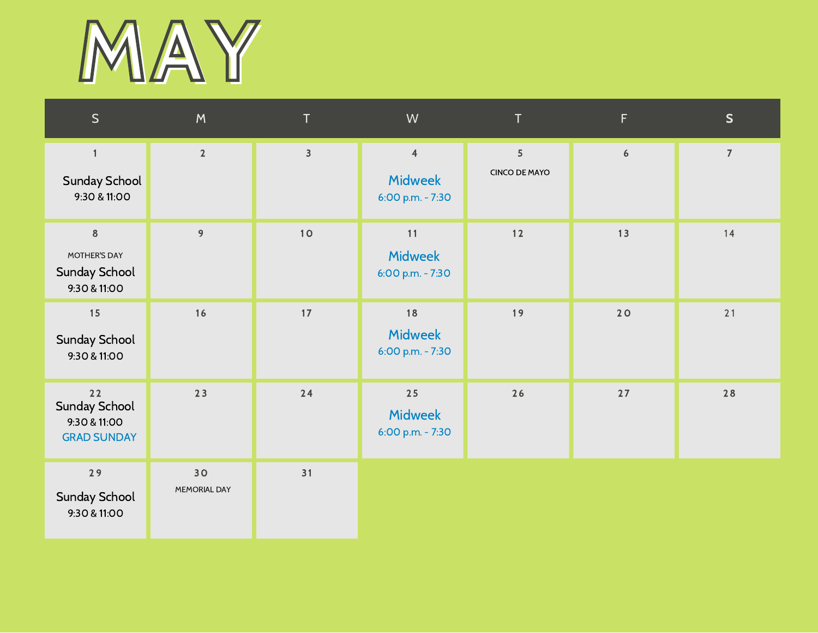

| S                                                                | M                  | T              | W                                                    | T.                                 | F.               | S              |
|------------------------------------------------------------------|--------------------|----------------|------------------------------------------------------|------------------------------------|------------------|----------------|
| $\mathbf{1}$<br><b>Sunday School</b><br>9:30 & 11:00             | $\overline{2}$     | $\overline{3}$ | $\overline{4}$<br><b>Midweek</b><br>6:00 p.m. - 7:30 | $\sqrt{5}$<br><b>CINCO DE MAYO</b> | $\boldsymbol{6}$ | $\overline{7}$ |
| $\,8\,$<br>MOTHER'S DAY<br><b>Sunday School</b><br>9:30 & 11:00  | 9                  | 10             | 11<br><b>Midweek</b><br>6:00 p.m. - 7:30             | $12$                               | 13               | 14             |
| 15<br><b>Sunday School</b><br>9:30 & 11:00                       | 16                 | 17             | 18<br><b>Midweek</b><br>6:00 p.m. - 7:30             | 19                                 | 20               | 21             |
| 22<br><b>Sunday School</b><br>9:30 & 11:00<br><b>GRAD SUNDAY</b> | 23                 | 24             | 25<br><b>Midweek</b><br>6:00 p.m. - 7:30             | 26                                 | $27$             | 28             |
| 29<br><b>Sunday School</b><br>9:30 & 11:00                       | 30<br>MEMORIAL DAY | 31             |                                                      |                                    |                  |                |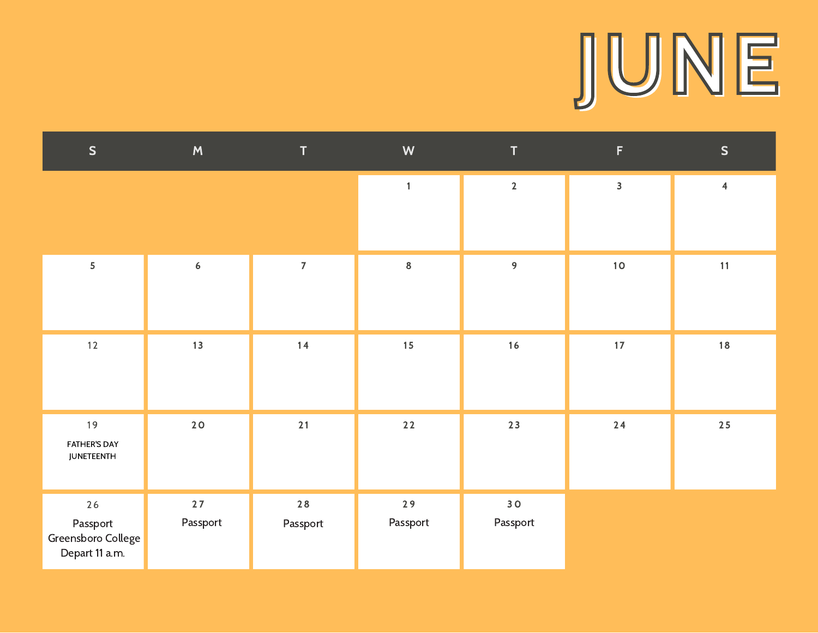# JUNE

| $\mathsf{S}$                                             | M                | $\mathbf T$      | W              | $\mathsf T$                 | $\mathsf F$             | S              |
|----------------------------------------------------------|------------------|------------------|----------------|-----------------------------|-------------------------|----------------|
|                                                          |                  |                  | $\mathbf{1}$   | $\mathbf{2}$                | $\overline{\mathbf{3}}$ | $\overline{4}$ |
|                                                          |                  |                  |                |                             |                         |                |
| 5                                                        | $\boldsymbol{6}$ | $\overline{7}$   | $\bf8$         | 9                           | $10$                    | 11             |
| $12$                                                     | 13               | $14$             | 15             | $16$                        | $17\,$                  | 18             |
| 19<br><b>FATHER'S DAY</b><br><b>JUNETEENTH</b>           | 20               | 21               | $22$           | 23                          | $24$                    | 25             |
| $26$<br>Passport<br>Greensboro College<br>Depart 11 a.m. | 27<br>Passport   | $28$<br>Passport | 29<br>Passport | 30 <sub>o</sub><br>Passport |                         |                |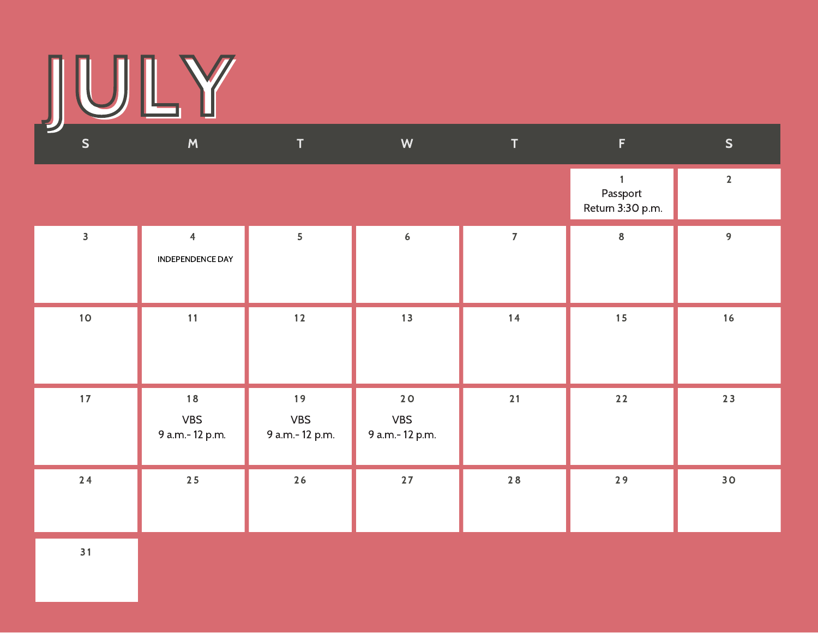

| ╾<br>$\mathsf{S}$       | M                                  | T                                  | W                                  | $\mathsf T$    | $\mathsf F$                                  | S               |
|-------------------------|------------------------------------|------------------------------------|------------------------------------|----------------|----------------------------------------------|-----------------|
|                         |                                    |                                    |                                    |                | $\mathbf{1}$<br>Passport<br>Return 3:30 p.m. | $\overline{2}$  |
| $\overline{\mathbf{3}}$ | $\overline{4}$<br>INDEPENDENCE DAY | 5                                  | $\boldsymbol{6}$                   | $\overline{7}$ | $\bf 8$                                      | 9               |
| 10 <sub>o</sub>         | 11                                 | $12$                               | 13                                 | 14             | 15                                           | 16              |
| 17                      | 18<br><b>VBS</b><br>9 a.m.-12 p.m. | 19<br><b>VBS</b><br>9 a.m.-12 p.m. | 20<br><b>VBS</b><br>9 a.m.-12 p.m. | $21$           | $22$                                         | 23              |
| 24                      | $25\,$                             | $26$                               | $27$                               | $28$           | 29                                           | 30 <sub>o</sub> |

 $31$